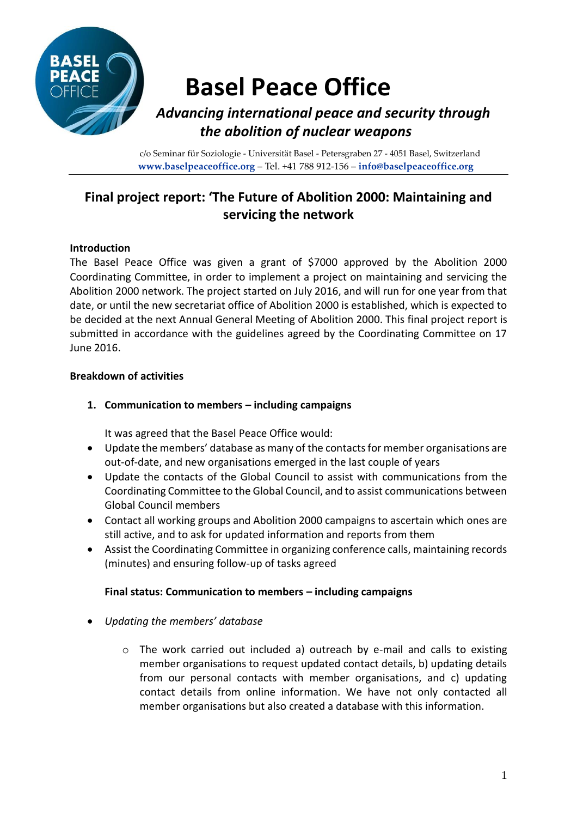

# **Basel Peace Office**

## *Advancing international peace and security through the abolition of nuclear weapons*

c/o Seminar für Soziologie - Universität Basel - Petersgraben 27 - 4051 Basel, Switzerland **www.baselpeaceoffice.org** – Tel. +41 788 912-156 – **info@baselpeaceoffice.org**

## **Final project report: 'The Future of Abolition 2000: Maintaining and servicing the network**

### **Introduction**

The Basel Peace Office was given a grant of \$7000 approved by the Abolition 2000 Coordinating Committee, in order to implement a project on maintaining and servicing the Abolition 2000 network. The project started on July 2016, and will run for one year from that date, or until the new secretariat office of Abolition 2000 is established, which is expected to be decided at the next Annual General Meeting of Abolition 2000. This final project report is submitted in accordance with the guidelines agreed by the Coordinating Committee on 17 June 2016.

#### **Breakdown of activities**

#### **1. Communication to members – including campaigns**

It was agreed that the Basel Peace Office would:

- Update the members' database as many of the contacts for member organisations are out-of-date, and new organisations emerged in the last couple of years
- Update the contacts of the Global Council to assist with communications from the Coordinating Committee to the Global Council, and to assist communications between Global Council members
- Contact all working groups and Abolition 2000 campaigns to ascertain which ones are still active, and to ask for updated information and reports from them
- Assist the Coordinating Committee in organizing conference calls, maintaining records (minutes) and ensuring follow-up of tasks agreed

#### **Final status: Communication to members – including campaigns**

- *Updating the members' database*
	- o The work carried out included a) outreach by e-mail and calls to existing member organisations to request updated contact details, b) updating details from our personal contacts with member organisations, and c) updating contact details from online information. We have not only contacted all member organisations but also created a database with this information.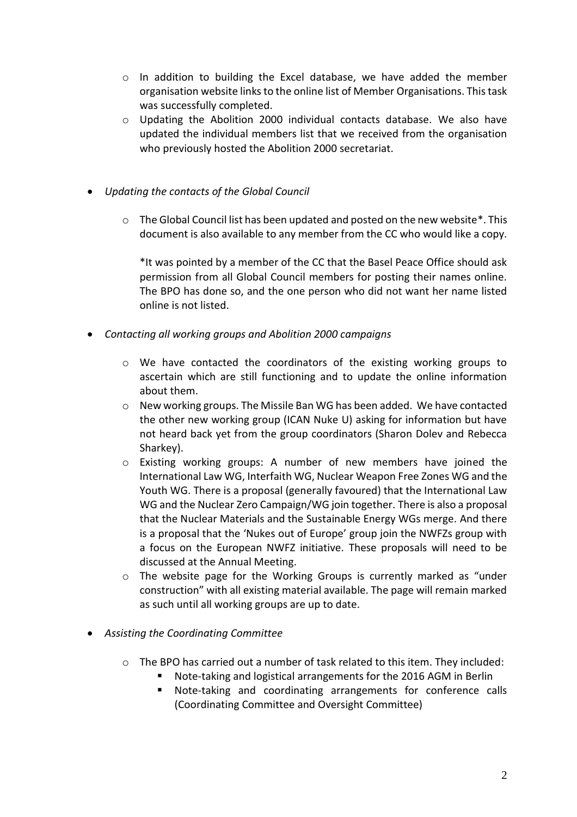- o In addition to building the Excel database, we have added the member organisation website links to the online list of Member Organisations. This task was successfully completed.
- $\circ$  Updating the Abolition 2000 individual contacts database. We also have updated the individual members list that we received from the organisation who previously hosted the Abolition 2000 secretariat.
- *Updating the contacts of the Global Council*
	- $\circ$  The Global Council list has been updated and posted on the new website \*. This document is also available to any member from the CC who would like a copy.

\*It was pointed by a member of the CC that the Basel Peace Office should ask permission from all Global Council members for posting their names online. The BPO has done so, and the one person who did not want her name listed online is not listed.

- *Contacting all working groups and Abolition 2000 campaigns*
	- o We have contacted the coordinators of the existing working groups to ascertain which are still functioning and to update the online information about them.
	- $\circ$  New working groups. The Missile Ban WG has been added. We have contacted the other new working group (ICAN Nuke U) asking for information but have not heard back yet from the group coordinators (Sharon Dolev and Rebecca Sharkey).
	- o Existing working groups: A number of new members have joined the International Law WG, Interfaith WG, Nuclear Weapon Free Zones WG and the Youth WG. There is a proposal (generally favoured) that the International Law WG and the Nuclear Zero Campaign/WG join together. There is also a proposal that the Nuclear Materials and the Sustainable Energy WGs merge. And there is a proposal that the 'Nukes out of Europe' group join the NWFZs group with a focus on the European NWFZ initiative. These proposals will need to be discussed at the Annual Meeting.
	- o The website page for the Working Groups is currently marked as "under construction" with all existing material available. The page will remain marked as such until all working groups are up to date.
- *Assisting the Coordinating Committee*
	- $\circ$  The BPO has carried out a number of task related to this item. They included:
		- Note-taking and logistical arrangements for the 2016 AGM in Berlin
			- Note-taking and coordinating arrangements for conference calls (Coordinating Committee and Oversight Committee)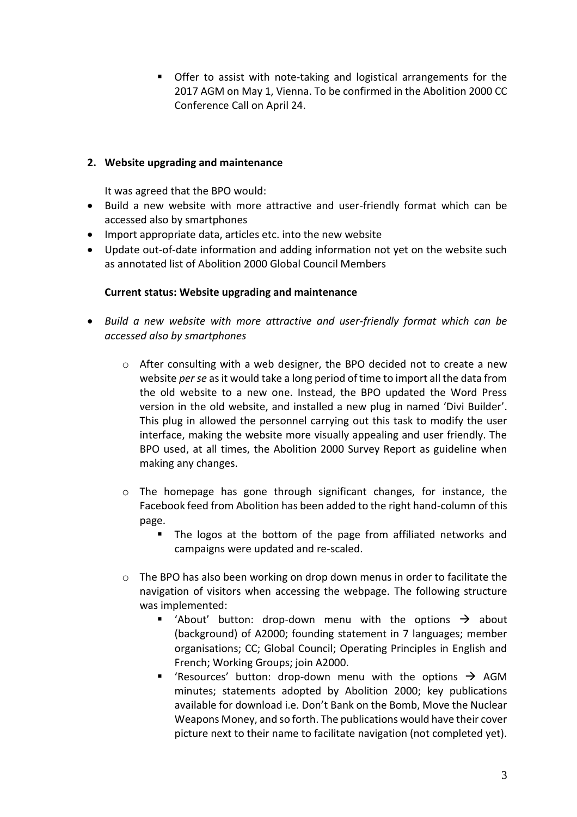■ Offer to assist with note-taking and logistical arrangements for the 2017 AGM on May 1, Vienna. To be confirmed in the Abolition 2000 CC Conference Call on April 24.

#### **2. Website upgrading and maintenance**

It was agreed that the BPO would:

- Build a new website with more attractive and user-friendly format which can be accessed also by smartphones
- Import appropriate data, articles etc. into the new website
- Update out-of-date information and adding information not yet on the website such as annotated list of Abolition 2000 Global Council Members

#### **Current status: Website upgrading and maintenance**

- *Build a new website with more attractive and user-friendly format which can be accessed also by smartphones* 
	- $\circ$  After consulting with a web designer, the BPO decided not to create a new website *per se* as it would take a long period of time to import all the data from the old website to a new one. Instead, the BPO updated the Word Press version in the old website, and installed a new plug in named 'Divi Builder'. This plug in allowed the personnel carrying out this task to modify the user interface, making the website more visually appealing and user friendly. The BPO used, at all times, the Abolition 2000 Survey Report as guideline when making any changes.
	- o The homepage has gone through significant changes, for instance, the Facebook feed from Abolition has been added to the right hand-column of this page.
		- The logos at the bottom of the page from affiliated networks and campaigns were updated and re-scaled.
	- o The BPO has also been working on drop down menus in order to facilitate the navigation of visitors when accessing the webpage. The following structure was implemented:
		- 'About' button: drop-down menu with the options  $\rightarrow$  about (background) of A2000; founding statement in 7 languages; member organisations; CC; Global Council; Operating Principles in English and French; Working Groups; join A2000.
		- **E** 'Resources' button: drop-down menu with the options  $\rightarrow$  AGM minutes; statements adopted by Abolition 2000; key publications available for download i.e. Don't Bank on the Bomb, Move the Nuclear Weapons Money, and so forth. The publications would have their cover picture next to their name to facilitate navigation (not completed yet).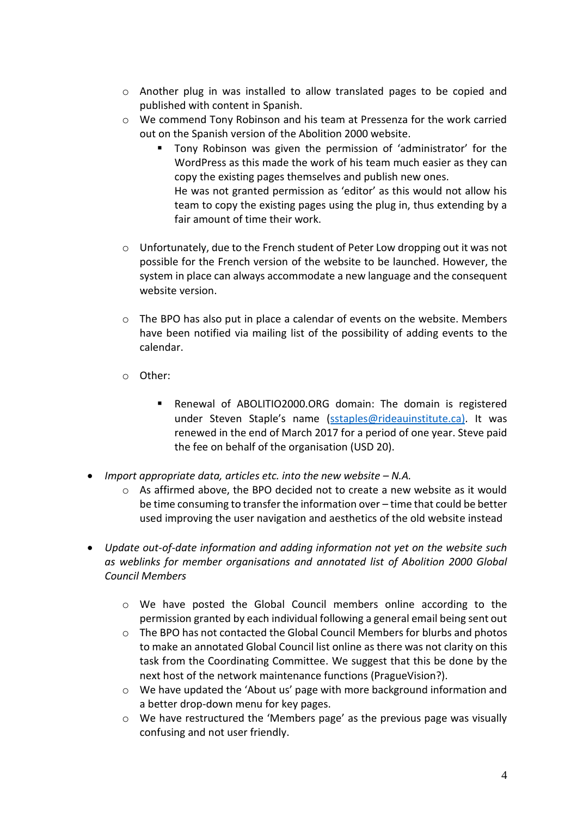- $\circ$  Another plug in was installed to allow translated pages to be copied and published with content in Spanish.
- o We commend Tony Robinson and his team at Pressenza for the work carried out on the Spanish version of the Abolition 2000 website.
	- Tony Robinson was given the permission of 'administrator' for the WordPress as this made the work of his team much easier as they can copy the existing pages themselves and publish new ones. He was not granted permission as 'editor' as this would not allow his team to copy the existing pages using the plug in, thus extending by a fair amount of time their work.
- o Unfortunately, due to the French student of Peter Low dropping out it was not possible for the French version of the website to be launched. However, the system in place can always accommodate a new language and the consequent website version.
- $\circ$  The BPO has also put in place a calendar of events on the website. Members have been notified via mailing list of the possibility of adding events to the calendar.
- o Other:
	- Renewal of ABOLITIO2000.ORG domain: The domain is registered under Steven Staple's name ([sstaples@rideauinstitute.ca\).](mailto:sstaples@rideauinstitute.ca)) It was renewed in the end of March 2017 for a period of one year. Steve paid the fee on behalf of the organisation (USD 20).
- *Import appropriate data, articles etc. into the new website N.A.* 
	- $\circ$  As affirmed above, the BPO decided not to create a new website as it would be time consuming to transfer the information over – time that could be better used improving the user navigation and aesthetics of the old website instead
- *Update out-of-date information and adding information not yet on the website such as weblinks for member organisations and annotated list of Abolition 2000 Global Council Members*
	- o We have posted the Global Council members online according to the permission granted by each individual following a general email being sent out
	- o The BPO has not contacted the Global Council Members for blurbs and photos to make an annotated Global Council list online as there was not clarity on this task from the Coordinating Committee. We suggest that this be done by the next host of the network maintenance functions (PragueVision?).
	- o We have updated the 'About us' page with more background information and a better drop-down menu for key pages.
	- o We have restructured the 'Members page' as the previous page was visually confusing and not user friendly.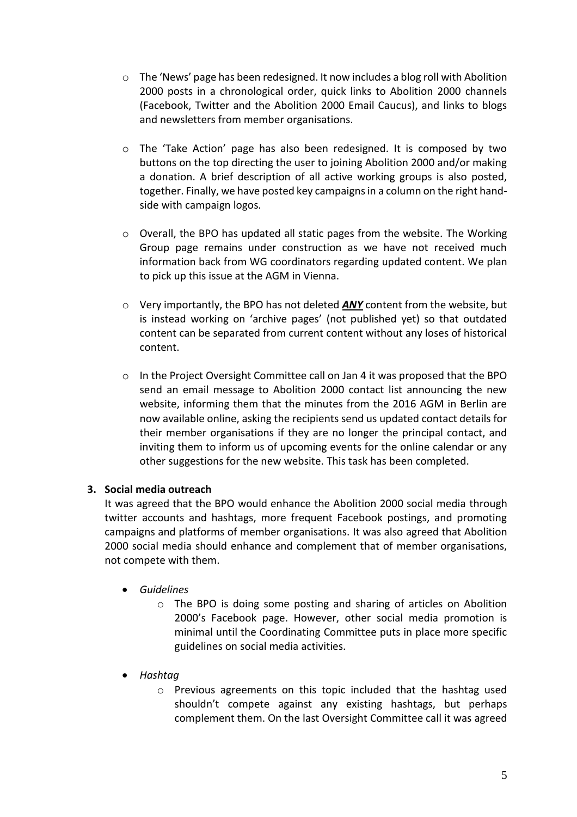- $\circ$  The 'News' page has been redesigned. It now includes a blog roll with Abolition 2000 posts in a chronological order, quick links to Abolition 2000 channels (Facebook, Twitter and the Abolition 2000 Email Caucus), and links to blogs and newsletters from member organisations.
- o The 'Take Action' page has also been redesigned. It is composed by two buttons on the top directing the user to joining Abolition 2000 and/or making a donation. A brief description of all active working groups is also posted, together. Finally, we have posted key campaigns in a column on the right handside with campaign logos.
- $\circ$  Overall, the BPO has updated all static pages from the website. The Working Group page remains under construction as we have not received much information back from WG coordinators regarding updated content. We plan to pick up this issue at the AGM in Vienna.
- o Very importantly, the BPO has not deleted *ANY* content from the website, but is instead working on 'archive pages' (not published yet) so that outdated content can be separated from current content without any loses of historical content.
- $\circ$  In the Project Oversight Committee call on Jan 4 it was proposed that the BPO send an email message to Abolition 2000 contact list announcing the new website, informing them that the minutes from the 2016 AGM in Berlin are now available online, asking the recipients send us updated contact details for their member organisations if they are no longer the principal contact, and inviting them to inform us of upcoming events for the online calendar or any other suggestions for the new website. This task has been completed.

#### **3. Social media outreach**

It was agreed that the BPO would enhance the Abolition 2000 social media through twitter accounts and hashtags, more frequent Facebook postings, and promoting campaigns and platforms of member organisations. It was also agreed that Abolition 2000 social media should enhance and complement that of member organisations, not compete with them.

- *Guidelines*
	- $\circ$  The BPO is doing some posting and sharing of articles on Abolition 2000's Facebook page. However, other social media promotion is minimal until the Coordinating Committee puts in place more specific guidelines on social media activities.
- *Hashtag*
	- o Previous agreements on this topic included that the hashtag used shouldn't compete against any existing hashtags, but perhaps complement them. On the last Oversight Committee call it was agreed